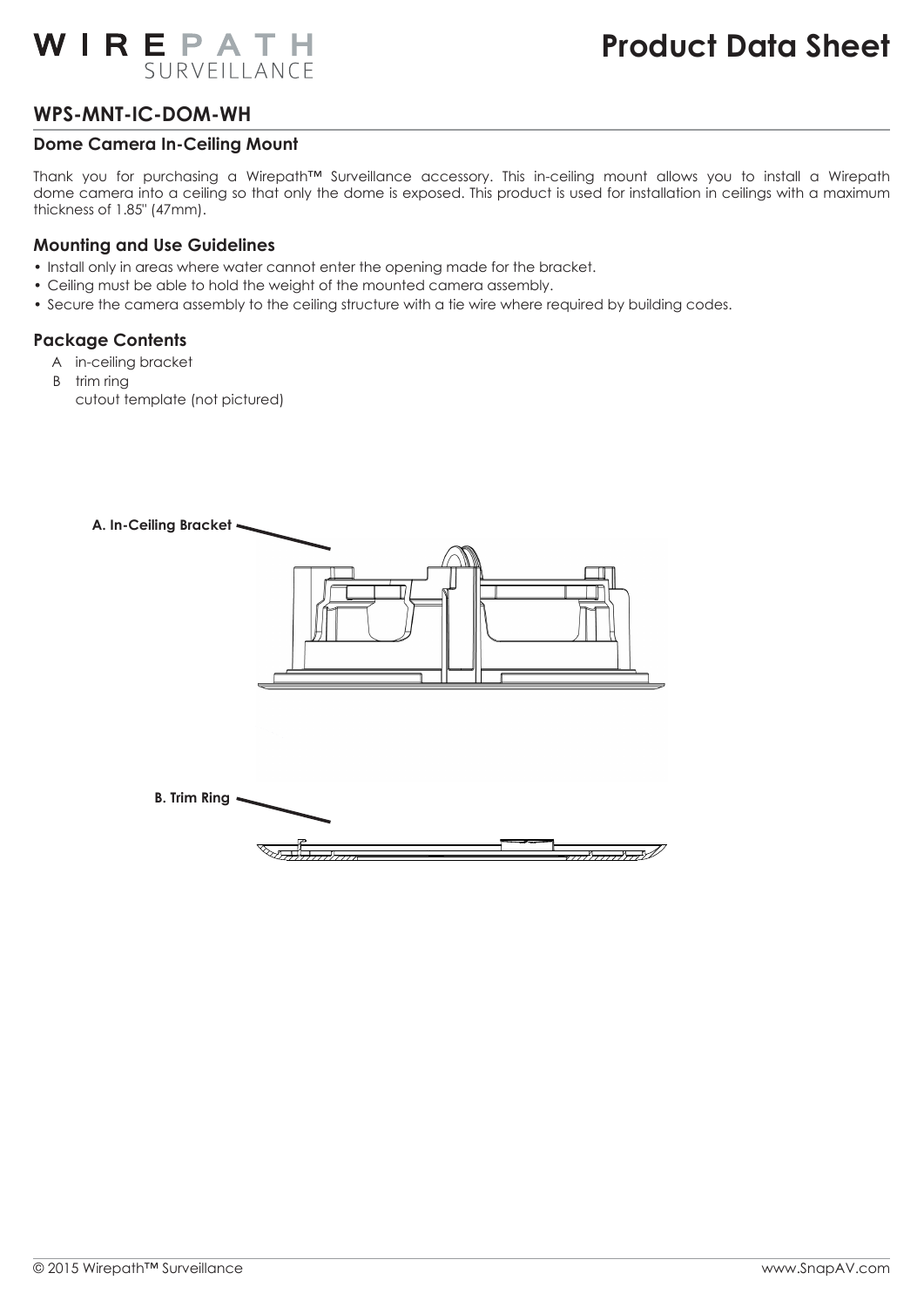# WIREPATH SURVEILLANCE

## **WPS-MNT-IC-DOM-WH**

#### **Dome Camera In-Ceiling Mount**

Thank you for purchasing a Wirepath™ Surveillance accessory. This in-ceiling mount allows you to install a Wirepath dome camera into a ceiling so that only the dome is exposed. This product is used for installation in ceilings with a maximum thickness of 1.85" (47mm).

#### **Mounting and Use Guidelines**

- Install only in areas where water cannot enter the opening made for the bracket.
- Ceiling must be able to hold the weight of the mounted camera assembly.
- Secure the camera assembly to the ceiling structure with a tie wire where required by building codes.

## **Package Contents**

- A in-ceiling bracket
- B trim ring cutout template (not pictured)